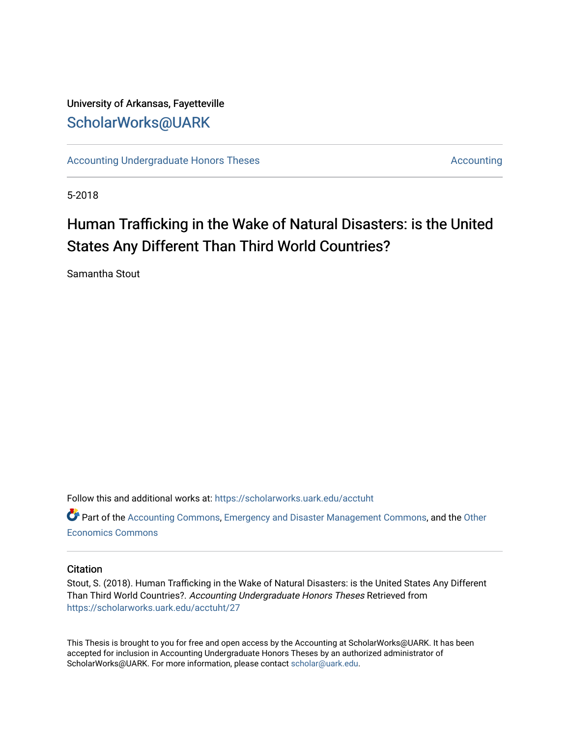# University of Arkansas, Fayetteville [ScholarWorks@UARK](https://scholarworks.uark.edu/)

[Accounting Undergraduate Honors Theses](https://scholarworks.uark.edu/acctuht) [Accounting](https://scholarworks.uark.edu/acct) Undergraduate Honors Theses Accounting

5-2018

# Human Trafficking in the Wake of Natural Disasters: is the United States Any Different Than Third World Countries?

Samantha Stout

Follow this and additional works at: [https://scholarworks.uark.edu/acctuht](https://scholarworks.uark.edu/acctuht?utm_source=scholarworks.uark.edu%2Facctuht%2F27&utm_medium=PDF&utm_campaign=PDFCoverPages) 

Part of the [Accounting Commons](http://network.bepress.com/hgg/discipline/625?utm_source=scholarworks.uark.edu%2Facctuht%2F27&utm_medium=PDF&utm_campaign=PDFCoverPages), [Emergency and Disaster Management Commons](http://network.bepress.com/hgg/discipline/1321?utm_source=scholarworks.uark.edu%2Facctuht%2F27&utm_medium=PDF&utm_campaign=PDFCoverPages), and the Other [Economics Commons](http://network.bepress.com/hgg/discipline/353?utm_source=scholarworks.uark.edu%2Facctuht%2F27&utm_medium=PDF&utm_campaign=PDFCoverPages) 

#### **Citation**

Stout, S. (2018). Human Trafficking in the Wake of Natural Disasters: is the United States Any Different Than Third World Countries?. Accounting Undergraduate Honors Theses Retrieved from [https://scholarworks.uark.edu/acctuht/27](https://scholarworks.uark.edu/acctuht/27?utm_source=scholarworks.uark.edu%2Facctuht%2F27&utm_medium=PDF&utm_campaign=PDFCoverPages)

This Thesis is brought to you for free and open access by the Accounting at ScholarWorks@UARK. It has been accepted for inclusion in Accounting Undergraduate Honors Theses by an authorized administrator of ScholarWorks@UARK. For more information, please contact [scholar@uark.edu](mailto:scholar@uark.edu).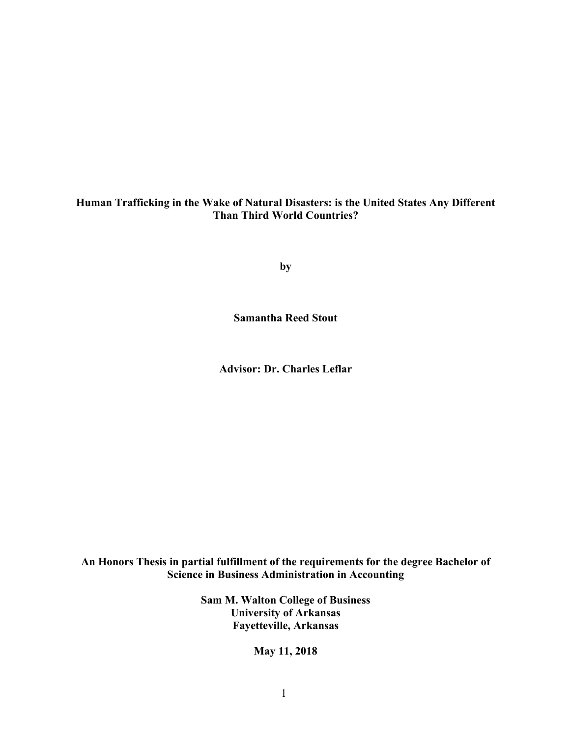# **Human Trafficking in the Wake of Natural Disasters: is the United States Any Different Than Third World Countries?**

**by**

**Samantha Reed Stout**

**Advisor: Dr. Charles Leflar**

# **An Honors Thesis in partial fulfillment of the requirements for the degree Bachelor of Science in Business Administration in Accounting**

**Sam M. Walton College of Business University of Arkansas Fayetteville, Arkansas**

**May 11, 2018**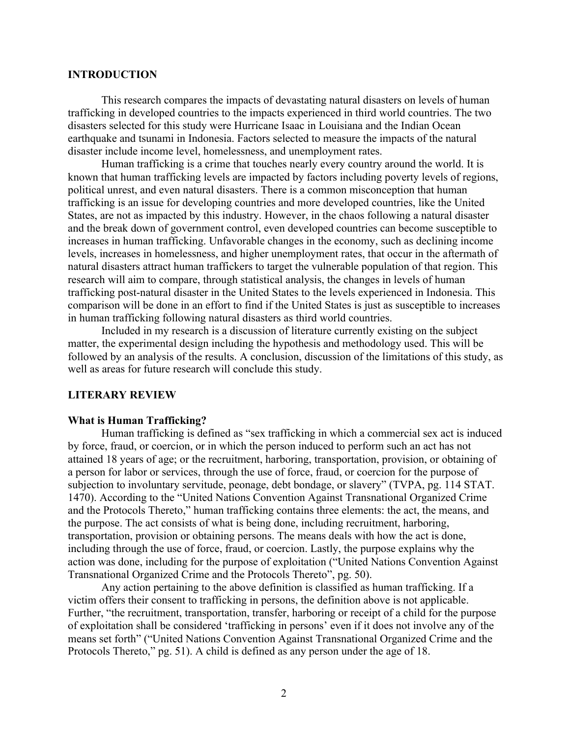#### **INTRODUCTION**

This research compares the impacts of devastating natural disasters on levels of human trafficking in developed countries to the impacts experienced in third world countries. The two disasters selected for this study were Hurricane Isaac in Louisiana and the Indian Ocean earthquake and tsunami in Indonesia. Factors selected to measure the impacts of the natural disaster include income level, homelessness, and unemployment rates.

Human trafficking is a crime that touches nearly every country around the world. It is known that human trafficking levels are impacted by factors including poverty levels of regions, political unrest, and even natural disasters. There is a common misconception that human trafficking is an issue for developing countries and more developed countries, like the United States, are not as impacted by this industry. However, in the chaos following a natural disaster and the break down of government control, even developed countries can become susceptible to increases in human trafficking. Unfavorable changes in the economy, such as declining income levels, increases in homelessness, and higher unemployment rates, that occur in the aftermath of natural disasters attract human traffickers to target the vulnerable population of that region. This research will aim to compare, through statistical analysis, the changes in levels of human trafficking post-natural disaster in the United States to the levels experienced in Indonesia. This comparison will be done in an effort to find if the United States is just as susceptible to increases in human trafficking following natural disasters as third world countries.

Included in my research is a discussion of literature currently existing on the subject matter, the experimental design including the hypothesis and methodology used. This will be followed by an analysis of the results. A conclusion, discussion of the limitations of this study, as well as areas for future research will conclude this study.

#### **LITERARY REVIEW**

## **What is Human Trafficking?**

Human trafficking is defined as "sex trafficking in which a commercial sex act is induced by force, fraud, or coercion, or in which the person induced to perform such an act has not attained 18 years of age; or the recruitment, harboring, transportation, provision, or obtaining of a person for labor or services, through the use of force, fraud, or coercion for the purpose of subjection to involuntary servitude, peonage, debt bondage, or slavery" (TVPA, pg. 114 STAT. 1470). According to the "United Nations Convention Against Transnational Organized Crime and the Protocols Thereto," human trafficking contains three elements: the act, the means, and the purpose. The act consists of what is being done, including recruitment, harboring, transportation, provision or obtaining persons. The means deals with how the act is done, including through the use of force, fraud, or coercion. Lastly, the purpose explains why the action was done, including for the purpose of exploitation ("United Nations Convention Against Transnational Organized Crime and the Protocols Thereto", pg. 50).

Any action pertaining to the above definition is classified as human trafficking. If a victim offers their consent to trafficking in persons, the definition above is not applicable. Further, "the recruitment, transportation, transfer, harboring or receipt of a child for the purpose of exploitation shall be considered 'trafficking in persons' even if it does not involve any of the means set forth" ("United Nations Convention Against Transnational Organized Crime and the Protocols Thereto," pg. 51). A child is defined as any person under the age of 18.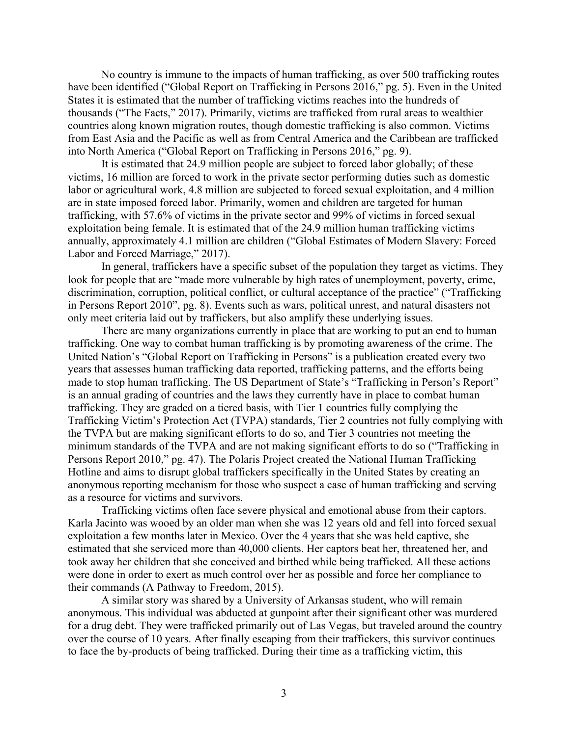No country is immune to the impacts of human trafficking, as over 500 trafficking routes have been identified ("Global Report on Trafficking in Persons 2016," pg. 5). Even in the United States it is estimated that the number of trafficking victims reaches into the hundreds of thousands ("The Facts," 2017). Primarily, victims are trafficked from rural areas to wealthier countries along known migration routes, though domestic trafficking is also common. Victims from East Asia and the Pacific as well as from Central America and the Caribbean are trafficked into North America ("Global Report on Trafficking in Persons 2016," pg. 9).

It is estimated that 24.9 million people are subject to forced labor globally; of these victims, 16 million are forced to work in the private sector performing duties such as domestic labor or agricultural work, 4.8 million are subjected to forced sexual exploitation, and 4 million are in state imposed forced labor. Primarily, women and children are targeted for human trafficking, with 57.6% of victims in the private sector and 99% of victims in forced sexual exploitation being female. It is estimated that of the 24.9 million human trafficking victims annually, approximately 4.1 million are children ("Global Estimates of Modern Slavery: Forced Labor and Forced Marriage," 2017).

In general, traffickers have a specific subset of the population they target as victims. They look for people that are "made more vulnerable by high rates of unemployment, poverty, crime, discrimination, corruption, political conflict, or cultural acceptance of the practice" ("Trafficking in Persons Report 2010", pg. 8). Events such as wars, political unrest, and natural disasters not only meet criteria laid out by traffickers, but also amplify these underlying issues.

There are many organizations currently in place that are working to put an end to human trafficking. One way to combat human trafficking is by promoting awareness of the crime. The United Nation's "Global Report on Trafficking in Persons" is a publication created every two years that assesses human trafficking data reported, trafficking patterns, and the efforts being made to stop human trafficking. The US Department of State's "Trafficking in Person's Report" is an annual grading of countries and the laws they currently have in place to combat human trafficking. They are graded on a tiered basis, with Tier 1 countries fully complying the Trafficking Victim's Protection Act (TVPA) standards, Tier 2 countries not fully complying with the TVPA but are making significant efforts to do so, and Tier 3 countries not meeting the minimum standards of the TVPA and are not making significant efforts to do so ("Trafficking in Persons Report 2010," pg. 47). The Polaris Project created the National Human Trafficking Hotline and aims to disrupt global traffickers specifically in the United States by creating an anonymous reporting mechanism for those who suspect a case of human trafficking and serving as a resource for victims and survivors.

Trafficking victims often face severe physical and emotional abuse from their captors. Karla Jacinto was wooed by an older man when she was 12 years old and fell into forced sexual exploitation a few months later in Mexico. Over the 4 years that she was held captive, she estimated that she serviced more than 40,000 clients. Her captors beat her, threatened her, and took away her children that she conceived and birthed while being trafficked. All these actions were done in order to exert as much control over her as possible and force her compliance to their commands (A Pathway to Freedom, 2015).

A similar story was shared by a University of Arkansas student, who will remain anonymous. This individual was abducted at gunpoint after their significant other was murdered for a drug debt. They were trafficked primarily out of Las Vegas, but traveled around the country over the course of 10 years. After finally escaping from their traffickers, this survivor continues to face the by-products of being trafficked. During their time as a trafficking victim, this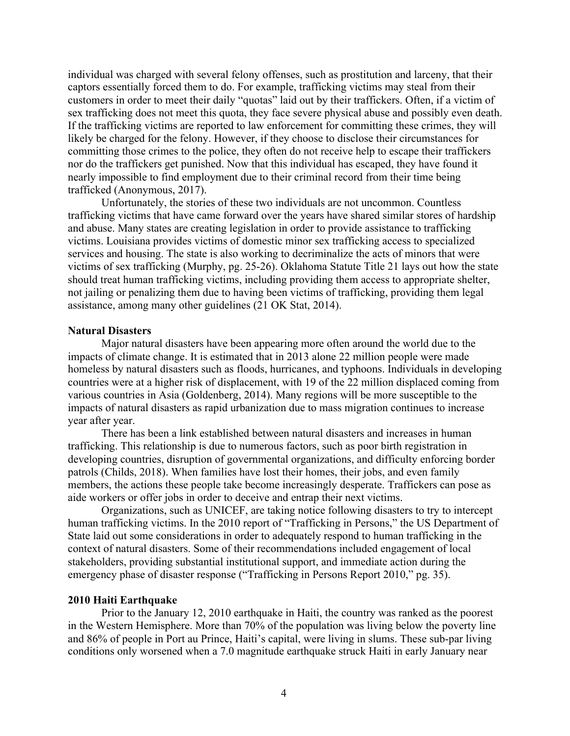individual was charged with several felony offenses, such as prostitution and larceny, that their captors essentially forced them to do. For example, trafficking victims may steal from their customers in order to meet their daily "quotas" laid out by their traffickers. Often, if a victim of sex trafficking does not meet this quota, they face severe physical abuse and possibly even death. If the trafficking victims are reported to law enforcement for committing these crimes, they will likely be charged for the felony. However, if they choose to disclose their circumstances for committing those crimes to the police, they often do not receive help to escape their traffickers nor do the traffickers get punished. Now that this individual has escaped, they have found it nearly impossible to find employment due to their criminal record from their time being trafficked (Anonymous, 2017).

Unfortunately, the stories of these two individuals are not uncommon. Countless trafficking victims that have came forward over the years have shared similar stores of hardship and abuse. Many states are creating legislation in order to provide assistance to trafficking victims. Louisiana provides victims of domestic minor sex trafficking access to specialized services and housing. The state is also working to decriminalize the acts of minors that were victims of sex trafficking (Murphy, pg. 25-26). Oklahoma Statute Title 21 lays out how the state should treat human trafficking victims, including providing them access to appropriate shelter, not jailing or penalizing them due to having been victims of trafficking, providing them legal assistance, among many other guidelines (21 OK Stat, 2014).

#### **Natural Disasters**

Major natural disasters have been appearing more often around the world due to the impacts of climate change. It is estimated that in 2013 alone 22 million people were made homeless by natural disasters such as floods, hurricanes, and typhoons. Individuals in developing countries were at a higher risk of displacement, with 19 of the 22 million displaced coming from various countries in Asia (Goldenberg, 2014). Many regions will be more susceptible to the impacts of natural disasters as rapid urbanization due to mass migration continues to increase year after year.

There has been a link established between natural disasters and increases in human trafficking. This relationship is due to numerous factors, such as poor birth registration in developing countries, disruption of governmental organizations, and difficulty enforcing border patrols (Childs, 2018). When families have lost their homes, their jobs, and even family members, the actions these people take become increasingly desperate. Traffickers can pose as aide workers or offer jobs in order to deceive and entrap their next victims.

Organizations, such as UNICEF, are taking notice following disasters to try to intercept human trafficking victims. In the 2010 report of "Trafficking in Persons," the US Department of State laid out some considerations in order to adequately respond to human trafficking in the context of natural disasters. Some of their recommendations included engagement of local stakeholders, providing substantial institutional support, and immediate action during the emergency phase of disaster response ("Trafficking in Persons Report 2010," pg. 35).

#### **2010 Haiti Earthquake**

Prior to the January 12, 2010 earthquake in Haiti, the country was ranked as the poorest in the Western Hemisphere. More than 70% of the population was living below the poverty line and 86% of people in Port au Prince, Haiti's capital, were living in slums. These sub-par living conditions only worsened when a 7.0 magnitude earthquake struck Haiti in early January near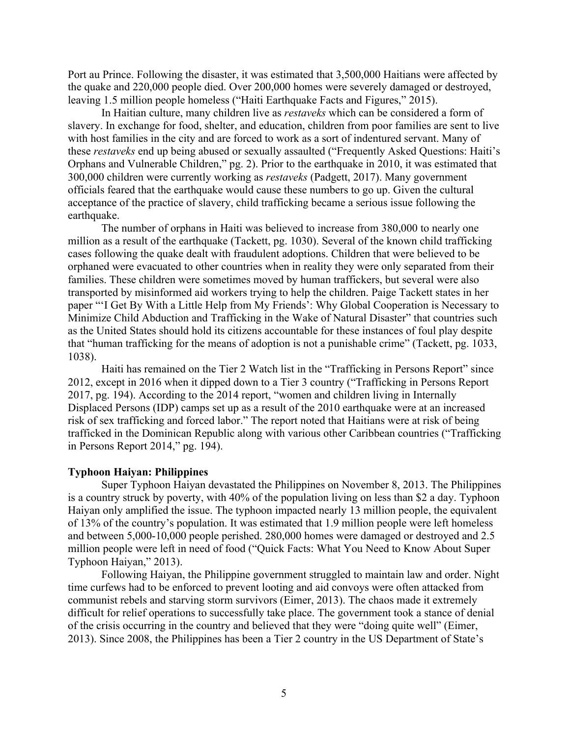Port au Prince. Following the disaster, it was estimated that 3,500,000 Haitians were affected by the quake and 220,000 people died. Over 200,000 homes were severely damaged or destroyed, leaving 1.5 million people homeless ("Haiti Earthquake Facts and Figures," 2015).

In Haitian culture, many children live as *restaveks* which can be considered a form of slavery. In exchange for food, shelter, and education, children from poor families are sent to live with host families in the city and are forced to work as a sort of indentured servant. Many of these *restaveks* end up being abused or sexually assaulted ("Frequently Asked Questions: Haiti's Orphans and Vulnerable Children," pg. 2). Prior to the earthquake in 2010, it was estimated that 300,000 children were currently working as *restaveks* (Padgett, 2017). Many government officials feared that the earthquake would cause these numbers to go up. Given the cultural acceptance of the practice of slavery, child trafficking became a serious issue following the earthquake.

The number of orphans in Haiti was believed to increase from 380,000 to nearly one million as a result of the earthquake (Tackett, pg. 1030). Several of the known child trafficking cases following the quake dealt with fraudulent adoptions. Children that were believed to be orphaned were evacuated to other countries when in reality they were only separated from their families. These children were sometimes moved by human traffickers, but several were also transported by misinformed aid workers trying to help the children. Paige Tackett states in her paper "'I Get By With a Little Help from My Friends': Why Global Cooperation is Necessary to Minimize Child Abduction and Trafficking in the Wake of Natural Disaster" that countries such as the United States should hold its citizens accountable for these instances of foul play despite that "human trafficking for the means of adoption is not a punishable crime" (Tackett, pg. 1033, 1038).

Haiti has remained on the Tier 2 Watch list in the "Trafficking in Persons Report" since 2012, except in 2016 when it dipped down to a Tier 3 country ("Trafficking in Persons Report 2017, pg. 194). According to the 2014 report, "women and children living in Internally Displaced Persons (IDP) camps set up as a result of the 2010 earthquake were at an increased risk of sex trafficking and forced labor." The report noted that Haitians were at risk of being trafficked in the Dominican Republic along with various other Caribbean countries ("Trafficking in Persons Report 2014," pg. 194).

#### **Typhoon Haiyan: Philippines**

Super Typhoon Haiyan devastated the Philippines on November 8, 2013. The Philippines is a country struck by poverty, with 40% of the population living on less than \$2 a day. Typhoon Haiyan only amplified the issue. The typhoon impacted nearly 13 million people, the equivalent of 13% of the country's population. It was estimated that 1.9 million people were left homeless and between 5,000-10,000 people perished. 280,000 homes were damaged or destroyed and 2.5 million people were left in need of food ("Quick Facts: What You Need to Know About Super Typhoon Haiyan," 2013).

Following Haiyan, the Philippine government struggled to maintain law and order. Night time curfews had to be enforced to prevent looting and aid convoys were often attacked from communist rebels and starving storm survivors (Eimer, 2013). The chaos made it extremely difficult for relief operations to successfully take place. The government took a stance of denial of the crisis occurring in the country and believed that they were "doing quite well" (Eimer, 2013). Since 2008, the Philippines has been a Tier 2 country in the US Department of State's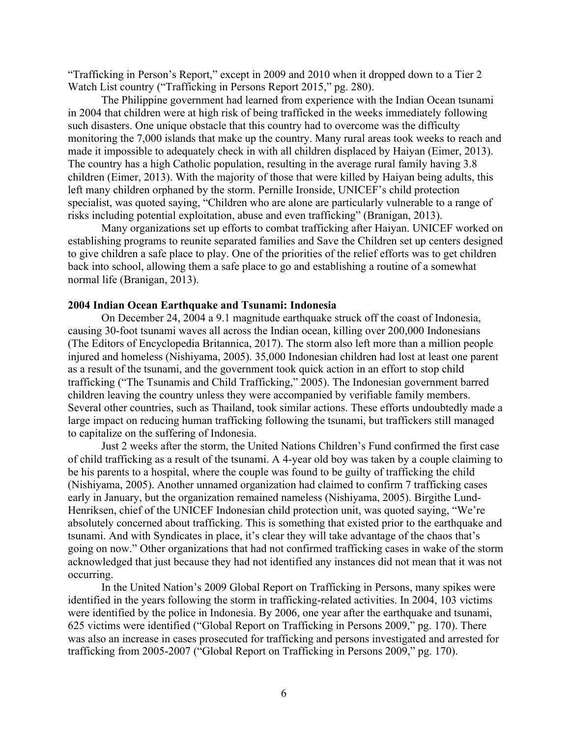"Trafficking in Person's Report," except in 2009 and 2010 when it dropped down to a Tier 2 Watch List country ("Trafficking in Persons Report 2015," pg. 280).

The Philippine government had learned from experience with the Indian Ocean tsunami in 2004 that children were at high risk of being trafficked in the weeks immediately following such disasters. One unique obstacle that this country had to overcome was the difficulty monitoring the 7,000 islands that make up the country. Many rural areas took weeks to reach and made it impossible to adequately check in with all children displaced by Haiyan (Eimer, 2013). The country has a high Catholic population, resulting in the average rural family having 3.8 children (Eimer, 2013). With the majority of those that were killed by Haiyan being adults, this left many children orphaned by the storm. Pernille Ironside, UNICEF's child protection specialist, was quoted saying, "Children who are alone are particularly vulnerable to a range of risks including potential exploitation, abuse and even trafficking" (Branigan, 2013).

Many organizations set up efforts to combat trafficking after Haiyan. UNICEF worked on establishing programs to reunite separated families and Save the Children set up centers designed to give children a safe place to play. One of the priorities of the relief efforts was to get children back into school, allowing them a safe place to go and establishing a routine of a somewhat normal life (Branigan, 2013).

#### **2004 Indian Ocean Earthquake and Tsunami: Indonesia**

On December 24, 2004 a 9.1 magnitude earthquake struck off the coast of Indonesia, causing 30-foot tsunami waves all across the Indian ocean, killing over 200,000 Indonesians (The Editors of Encyclopedia Britannica, 2017). The storm also left more than a million people injured and homeless (Nishiyama, 2005). 35,000 Indonesian children had lost at least one parent as a result of the tsunami, and the government took quick action in an effort to stop child trafficking ("The Tsunamis and Child Trafficking," 2005). The Indonesian government barred children leaving the country unless they were accompanied by verifiable family members. Several other countries, such as Thailand, took similar actions. These efforts undoubtedly made a large impact on reducing human trafficking following the tsunami, but traffickers still managed to capitalize on the suffering of Indonesia.

Just 2 weeks after the storm, the United Nations Children's Fund confirmed the first case of child trafficking as a result of the tsunami. A 4-year old boy was taken by a couple claiming to be his parents to a hospital, where the couple was found to be guilty of trafficking the child (Nishiyama, 2005). Another unnamed organization had claimed to confirm 7 trafficking cases early in January, but the organization remained nameless (Nishiyama, 2005). Birgithe Lund-Henriksen, chief of the UNICEF Indonesian child protection unit, was quoted saying, "We're absolutely concerned about trafficking. This is something that existed prior to the earthquake and tsunami. And with Syndicates in place, it's clear they will take advantage of the chaos that's going on now." Other organizations that had not confirmed trafficking cases in wake of the storm acknowledged that just because they had not identified any instances did not mean that it was not occurring.

In the United Nation's 2009 Global Report on Trafficking in Persons, many spikes were identified in the years following the storm in trafficking-related activities. In 2004, 103 victims were identified by the police in Indonesia. By 2006, one year after the earthquake and tsunami, 625 victims were identified ("Global Report on Trafficking in Persons 2009," pg. 170). There was also an increase in cases prosecuted for trafficking and persons investigated and arrested for trafficking from 2005-2007 ("Global Report on Trafficking in Persons 2009," pg. 170).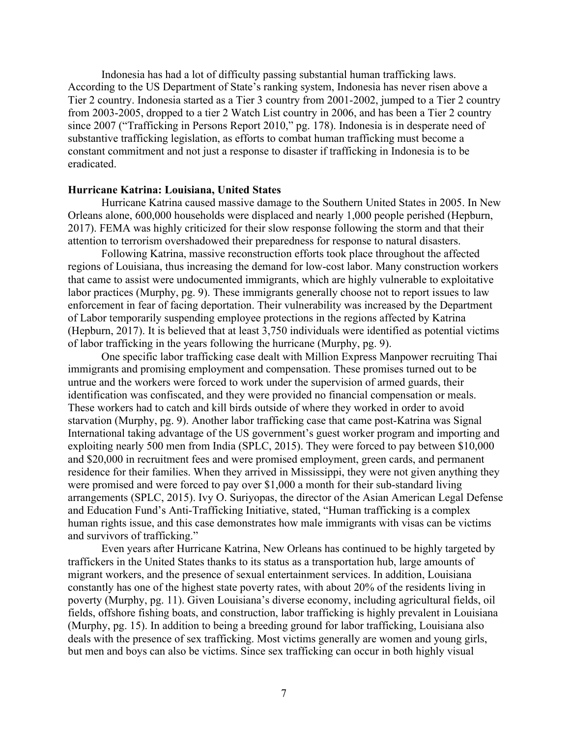Indonesia has had a lot of difficulty passing substantial human trafficking laws. According to the US Department of State's ranking system, Indonesia has never risen above a Tier 2 country. Indonesia started as a Tier 3 country from 2001-2002, jumped to a Tier 2 country from 2003-2005, dropped to a tier 2 Watch List country in 2006, and has been a Tier 2 country since 2007 ("Trafficking in Persons Report 2010," pg. 178). Indonesia is in desperate need of substantive trafficking legislation, as efforts to combat human trafficking must become a constant commitment and not just a response to disaster if trafficking in Indonesia is to be eradicated.

#### **Hurricane Katrina: Louisiana, United States**

Hurricane Katrina caused massive damage to the Southern United States in 2005. In New Orleans alone, 600,000 households were displaced and nearly 1,000 people perished (Hepburn, 2017). FEMA was highly criticized for their slow response following the storm and that their attention to terrorism overshadowed their preparedness for response to natural disasters.

Following Katrina, massive reconstruction efforts took place throughout the affected regions of Louisiana, thus increasing the demand for low-cost labor. Many construction workers that came to assist were undocumented immigrants, which are highly vulnerable to exploitative labor practices (Murphy, pg. 9). These immigrants generally choose not to report issues to law enforcement in fear of facing deportation. Their vulnerability was increased by the Department of Labor temporarily suspending employee protections in the regions affected by Katrina (Hepburn, 2017). It is believed that at least 3,750 individuals were identified as potential victims of labor trafficking in the years following the hurricane (Murphy, pg. 9).

One specific labor trafficking case dealt with Million Express Manpower recruiting Thai immigrants and promising employment and compensation. These promises turned out to be untrue and the workers were forced to work under the supervision of armed guards, their identification was confiscated, and they were provided no financial compensation or meals. These workers had to catch and kill birds outside of where they worked in order to avoid starvation (Murphy, pg. 9). Another labor trafficking case that came post-Katrina was Signal International taking advantage of the US government's guest worker program and importing and exploiting nearly 500 men from India (SPLC, 2015). They were forced to pay between \$10,000 and \$20,000 in recruitment fees and were promised employment, green cards, and permanent residence for their families. When they arrived in Mississippi, they were not given anything they were promised and were forced to pay over \$1,000 a month for their sub-standard living arrangements (SPLC, 2015). Ivy O. Suriyopas, the director of the Asian American Legal Defense and Education Fund's Anti-Trafficking Initiative, stated, "Human trafficking is a complex human rights issue, and this case demonstrates how male immigrants with visas can be victims and survivors of trafficking."

Even years after Hurricane Katrina, New Orleans has continued to be highly targeted by traffickers in the United States thanks to its status as a transportation hub, large amounts of migrant workers, and the presence of sexual entertainment services. In addition, Louisiana constantly has one of the highest state poverty rates, with about 20% of the residents living in poverty (Murphy, pg. 11). Given Louisiana's diverse economy, including agricultural fields, oil fields, offshore fishing boats, and construction, labor trafficking is highly prevalent in Louisiana (Murphy, pg. 15). In addition to being a breeding ground for labor trafficking, Louisiana also deals with the presence of sex trafficking. Most victims generally are women and young girls, but men and boys can also be victims. Since sex trafficking can occur in both highly visual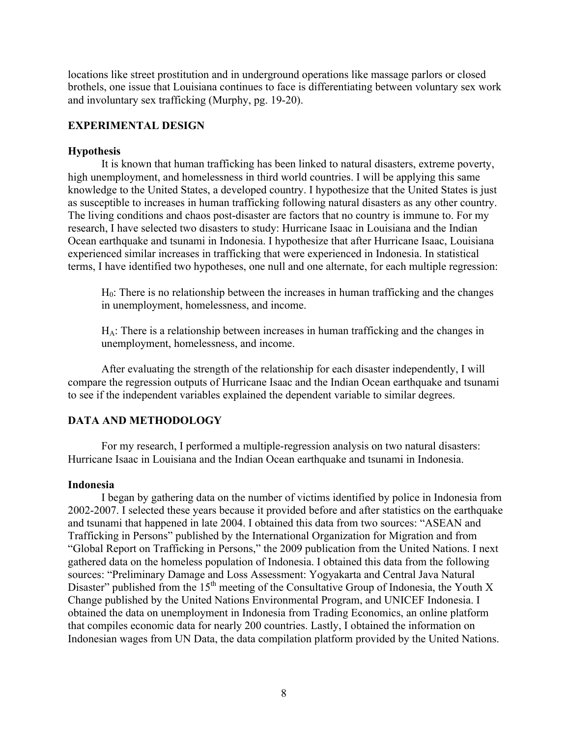locations like street prostitution and in underground operations like massage parlors or closed brothels, one issue that Louisiana continues to face is differentiating between voluntary sex work and involuntary sex trafficking (Murphy, pg. 19-20).

# **EXPERIMENTAL DESIGN**

# **Hypothesis**

It is known that human trafficking has been linked to natural disasters, extreme poverty, high unemployment, and homelessness in third world countries. I will be applying this same knowledge to the United States, a developed country. I hypothesize that the United States is just as susceptible to increases in human trafficking following natural disasters as any other country. The living conditions and chaos post-disaster are factors that no country is immune to. For my research, I have selected two disasters to study: Hurricane Isaac in Louisiana and the Indian Ocean earthquake and tsunami in Indonesia. I hypothesize that after Hurricane Isaac, Louisiana experienced similar increases in trafficking that were experienced in Indonesia. In statistical terms, I have identified two hypotheses, one null and one alternate, for each multiple regression:

 $H<sub>0</sub>$ : There is no relationship between the increases in human trafficking and the changes in unemployment, homelessness, and income.

 $H_A$ : There is a relationship between increases in human trafficking and the changes in unemployment, homelessness, and income.

After evaluating the strength of the relationship for each disaster independently, I will compare the regression outputs of Hurricane Isaac and the Indian Ocean earthquake and tsunami to see if the independent variables explained the dependent variable to similar degrees.

# **DATA AND METHODOLOGY**

For my research, I performed a multiple-regression analysis on two natural disasters: Hurricane Isaac in Louisiana and the Indian Ocean earthquake and tsunami in Indonesia.

# **Indonesia**

I began by gathering data on the number of victims identified by police in Indonesia from 2002-2007. I selected these years because it provided before and after statistics on the earthquake and tsunami that happened in late 2004. I obtained this data from two sources: "ASEAN and Trafficking in Persons" published by the International Organization for Migration and from "Global Report on Trafficking in Persons," the 2009 publication from the United Nations. I next gathered data on the homeless population of Indonesia. I obtained this data from the following sources: "Preliminary Damage and Loss Assessment: Yogyakarta and Central Java Natural Disaster" published from the  $15<sup>th</sup>$  meeting of the Consultative Group of Indonesia, the Youth X Change published by the United Nations Environmental Program, and UNICEF Indonesia. I obtained the data on unemployment in Indonesia from Trading Economics, an online platform that compiles economic data for nearly 200 countries. Lastly, I obtained the information on Indonesian wages from UN Data, the data compilation platform provided by the United Nations.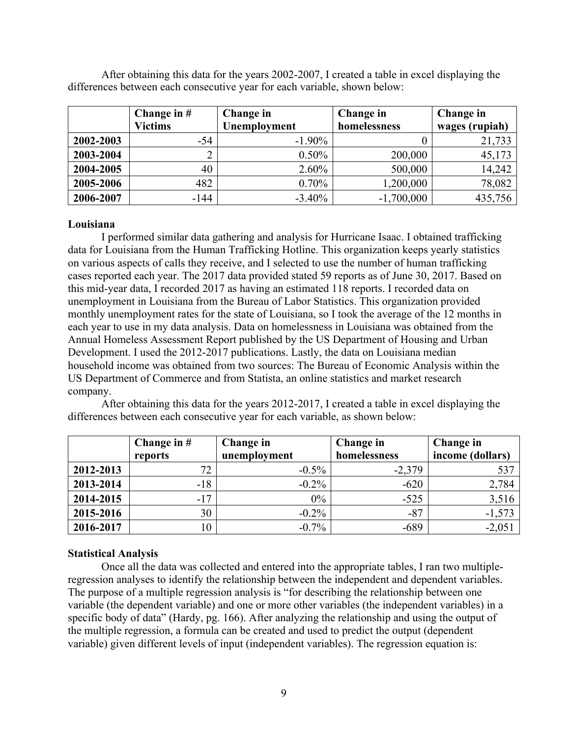|           | Change in $#$<br><b>Victims</b> | Change in<br>Unemployment | <b>Change in</b><br>homelessness | Change in<br>wages (rupiah) |
|-----------|---------------------------------|---------------------------|----------------------------------|-----------------------------|
| 2002-2003 | $-54$                           | $-1.90\%$                 |                                  | 21,733                      |
| 2003-2004 |                                 | $0.50\%$                  | 200,000                          | 45,173                      |
| 2004-2005 | 40                              | $2.60\%$                  | 500,000                          | 14,242                      |
| 2005-2006 | 482                             | $0.70\%$                  | 1,200,000                        | 78,082                      |
| 2006-2007 | $-144$                          | $-3.40\%$                 | $-1,700,000$                     | 435,756                     |

After obtaining this data for the years 2002-2007, I created a table in excel displaying the differences between each consecutive year for each variable, shown below:

#### **Louisiana**

I performed similar data gathering and analysis for Hurricane Isaac. I obtained trafficking data for Louisiana from the Human Trafficking Hotline. This organization keeps yearly statistics on various aspects of calls they receive, and I selected to use the number of human trafficking cases reported each year. The 2017 data provided stated 59 reports as of June 30, 2017. Based on this mid-year data, I recorded 2017 as having an estimated 118 reports. I recorded data on unemployment in Louisiana from the Bureau of Labor Statistics. This organization provided monthly unemployment rates for the state of Louisiana, so I took the average of the 12 months in each year to use in my data analysis. Data on homelessness in Louisiana was obtained from the Annual Homeless Assessment Report published by the US Department of Housing and Urban Development. I used the 2012-2017 publications. Lastly, the data on Louisiana median household income was obtained from two sources: The Bureau of Economic Analysis within the US Department of Commerce and from Statista, an online statistics and market research company.

After obtaining this data for the years 2012-2017, I created a table in excel displaying the differences between each consecutive year for each variable, as shown below:

|           | Change in $#$<br>reports | Change in<br>unemployment | Change in<br>homelessness | Change in<br>income (dollars) |
|-----------|--------------------------|---------------------------|---------------------------|-------------------------------|
| 2012-2013 | 72                       | $-0.5\%$                  | $-2,379$                  | 537                           |
| 2013-2014 | $-18$                    | $-0.2\%$                  | $-620$                    | 2,784                         |
| 2014-2015 | $-17$                    | $0\%$                     | $-525$                    | 3,516                         |
| 2015-2016 | 30                       | $-0.2\%$                  | $-87$                     | $-1,573$                      |
| 2016-2017 | 10                       | $-0.7%$                   | $-689$                    | $-2,051$                      |

#### **Statistical Analysis**

Once all the data was collected and entered into the appropriate tables, I ran two multipleregression analyses to identify the relationship between the independent and dependent variables. The purpose of a multiple regression analysis is "for describing the relationship between one variable (the dependent variable) and one or more other variables (the independent variables) in a specific body of data" (Hardy, pg. 166). After analyzing the relationship and using the output of the multiple regression, a formula can be created and used to predict the output (dependent variable) given different levels of input (independent variables). The regression equation is: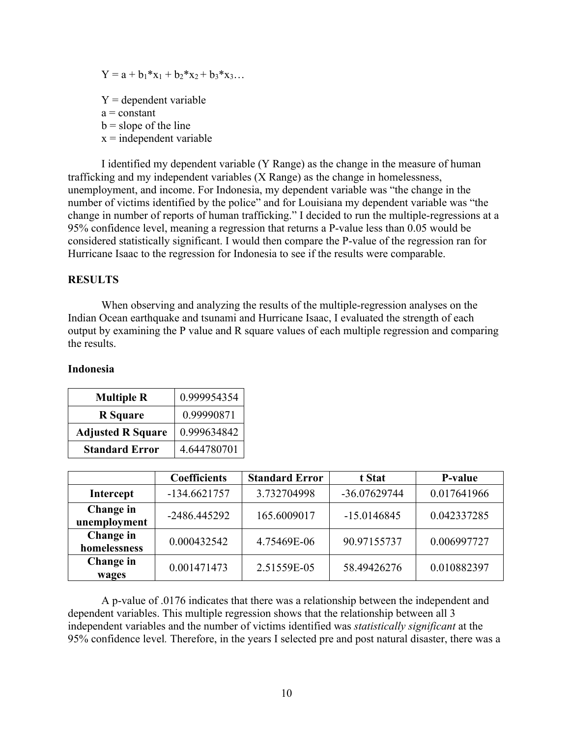$Y = a + b_1 * x_1 + b_2 * x_2 + b_3 * x_3...$ 

- $Y =$  dependent variable
- $a = constant$
- $b = slope of the line$
- $x =$  independent variable

I identified my dependent variable (Y Range) as the change in the measure of human trafficking and my independent variables (X Range) as the change in homelessness, unemployment, and income. For Indonesia, my dependent variable was "the change in the number of victims identified by the police" and for Louisiana my dependent variable was "the change in number of reports of human trafficking." I decided to run the multiple-regressions at a 95% confidence level, meaning a regression that returns a P-value less than 0.05 would be considered statistically significant. I would then compare the P-value of the regression ran for Hurricane Isaac to the regression for Indonesia to see if the results were comparable.

# **RESULTS**

When observing and analyzing the results of the multiple-regression analyses on the Indian Ocean earthquake and tsunami and Hurricane Isaac, I evaluated the strength of each output by examining the P value and R square values of each multiple regression and comparing the results.

### **Indonesia**

| <b>Multiple R</b>        | 0.999954354 |
|--------------------------|-------------|
| <b>R</b> Square          | 0.99990871  |
| <b>Adjusted R Square</b> | 0.999634842 |
| <b>Standard Error</b>    | 4.644780701 |

|                           | <b>Coefficients</b> | <b>Standard Error</b> | t Stat        | P-value     |
|---------------------------|---------------------|-----------------------|---------------|-------------|
| <b>Intercept</b>          | $-134.6621757$      | 3.732704998           | -36.07629744  | 0.017641966 |
| Change in<br>unemployment | -2486.445292        | 165.6009017           | $-15.0146845$ | 0.042337285 |
| Change in<br>homelessness | 0.000432542         | 4.75469E-06           | 90.97155737   | 0.006997727 |
| Change in<br>wages        | 0.001471473         | 2.51559E-05           | 58.49426276   | 0.010882397 |

A p-value of .0176 indicates that there was a relationship between the independent and dependent variables. This multiple regression shows that the relationship between all 3 independent variables and the number of victims identified was *statistically significant* at the 95% confidence level*.* Therefore, in the years I selected pre and post natural disaster, there was a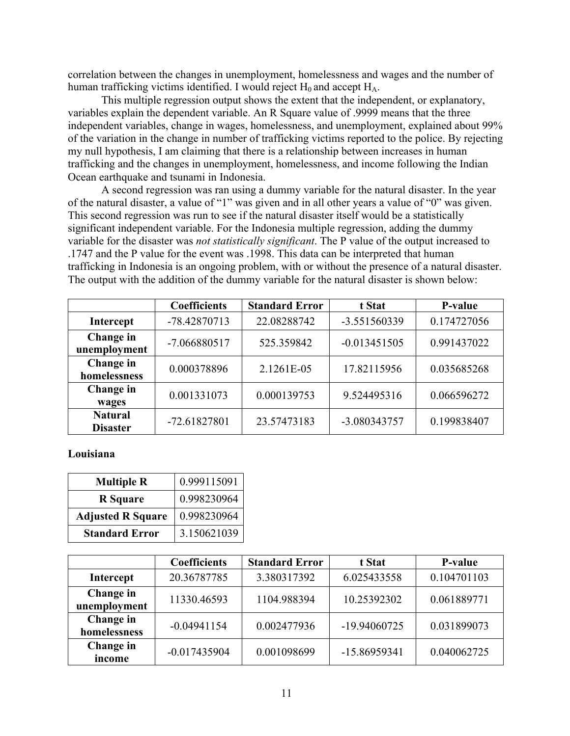correlation between the changes in unemployment, homelessness and wages and the number of human trafficking victims identified. I would reject  $H_0$  and accept  $H_A$ .

This multiple regression output shows the extent that the independent, or explanatory, variables explain the dependent variable. An R Square value of .9999 means that the three independent variables, change in wages, homelessness, and unemployment, explained about 99% of the variation in the change in number of trafficking victims reported to the police. By rejecting my null hypothesis, I am claiming that there is a relationship between increases in human trafficking and the changes in unemployment, homelessness, and income following the Indian Ocean earthquake and tsunami in Indonesia.

A second regression was ran using a dummy variable for the natural disaster. In the year of the natural disaster, a value of "1" was given and in all other years a value of "0" was given. This second regression was run to see if the natural disaster itself would be a statistically significant independent variable. For the Indonesia multiple regression, adding the dummy variable for the disaster was *not statistically significant*. The P value of the output increased to .1747 and the P value for the event was .1998. This data can be interpreted that human trafficking in Indonesia is an ongoing problem, with or without the presence of a natural disaster. The output with the addition of the dummy variable for the natural disaster is shown below:

|                                   | <b>Coefficients</b>          | <b>Standard Error</b> | t Stat         | P-value     |
|-----------------------------------|------------------------------|-----------------------|----------------|-------------|
| Intercept                         | -78.42870713                 | 22.08288742           | -3.551560339   | 0.174727056 |
| Change in<br>unemployment         | $-7.066880517$<br>525.359842 |                       | $-0.013451505$ | 0.991437022 |
| Change in<br>homelessness         | 0.000378896                  | 2.1261E-05            | 17.82115956    | 0.035685268 |
| Change in<br>wages                | 0.001331073                  | 0.000139753           | 9.524495316    | 0.066596272 |
| <b>Natural</b><br><b>Disaster</b> | -72.61827801                 | 23.57473183           | -3.080343757   | 0.199838407 |

**Louisiana**

| <b>Multiple R</b>        | 0.999115091 |
|--------------------------|-------------|
| <b>R</b> Square          | 0.998230964 |
| <b>Adjusted R Square</b> | 0.998230964 |
| <b>Standard Error</b>    | 3.150621039 |

|                           | <b>Coefficients</b> | <b>Standard Error</b> | t Stat         | P-value     |
|---------------------------|---------------------|-----------------------|----------------|-------------|
| <b>Intercept</b>          | 20.36787785         | 3.380317392           | 6.025433558    | 0.104701103 |
| Change in<br>unemployment | 11330.46593         | 1104.988394           | 10.25392302    | 0.061889771 |
| Change in<br>homelessness | $-0.04941154$       | 0.002477936           | -19.94060725   | 0.031899073 |
| Change in<br>income       | $-0.017435904$      | 0.001098699           | $-15.86959341$ | 0.040062725 |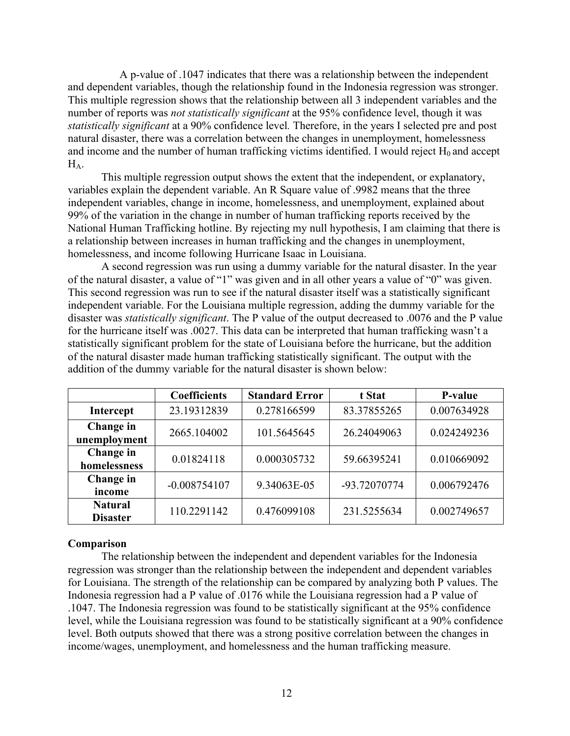A p-value of .1047 indicates that there was a relationship between the independent and dependent variables, though the relationship found in the Indonesia regression was stronger. This multiple regression shows that the relationship between all 3 independent variables and the number of reports was *not statistically significant* at the 95% confidence level, though it was *statistically significant* at a 90% confidence level*.* Therefore, in the years I selected pre and post natural disaster, there was a correlation between the changes in unemployment, homelessness and income and the number of human trafficking victims identified. I would reject  $H_0$  and accept  $H_A$ .

This multiple regression output shows the extent that the independent, or explanatory, variables explain the dependent variable. An R Square value of .9982 means that the three independent variables, change in income, homelessness, and unemployment, explained about 99% of the variation in the change in number of human trafficking reports received by the National Human Trafficking hotline. By rejecting my null hypothesis, I am claiming that there is a relationship between increases in human trafficking and the changes in unemployment, homelessness, and income following Hurricane Isaac in Louisiana.

A second regression was run using a dummy variable for the natural disaster. In the year of the natural disaster, a value of "1" was given and in all other years a value of "0" was given. This second regression was run to see if the natural disaster itself was a statistically significant independent variable. For the Louisiana multiple regression, adding the dummy variable for the disaster was *statistically significant*. The P value of the output decreased to .0076 and the P value for the hurricane itself was .0027. This data can be interpreted that human trafficking wasn't a statistically significant problem for the state of Louisiana before the hurricane, but the addition of the natural disaster made human trafficking statistically significant. The output with the addition of the dummy variable for the natural disaster is shown below:

|                                   | <b>Coefficients</b> | <b>Standard Error</b> | t Stat       | P-value     |
|-----------------------------------|---------------------|-----------------------|--------------|-------------|
| <b>Intercept</b>                  | 23.19312839         | 0.278166599           | 83.37855265  | 0.007634928 |
| Change in<br>unemployment         | 2665.104002         | 101.5645645           | 26.24049063  | 0.024249236 |
| Change in<br>homelessness         | 0.01824118          | 0.000305732           | 59.66395241  | 0.010669092 |
| Change in<br>income               | $-0.008754107$      | 9.34063E-05           | -93.72070774 | 0.006792476 |
| <b>Natural</b><br><b>Disaster</b> | 110.2291142         | 0.476099108           | 231.5255634  | 0.002749657 |

# **Comparison**

The relationship between the independent and dependent variables for the Indonesia regression was stronger than the relationship between the independent and dependent variables for Louisiana. The strength of the relationship can be compared by analyzing both P values. The Indonesia regression had a P value of .0176 while the Louisiana regression had a P value of .1047. The Indonesia regression was found to be statistically significant at the 95% confidence level, while the Louisiana regression was found to be statistically significant at a 90% confidence level. Both outputs showed that there was a strong positive correlation between the changes in income/wages, unemployment, and homelessness and the human trafficking measure.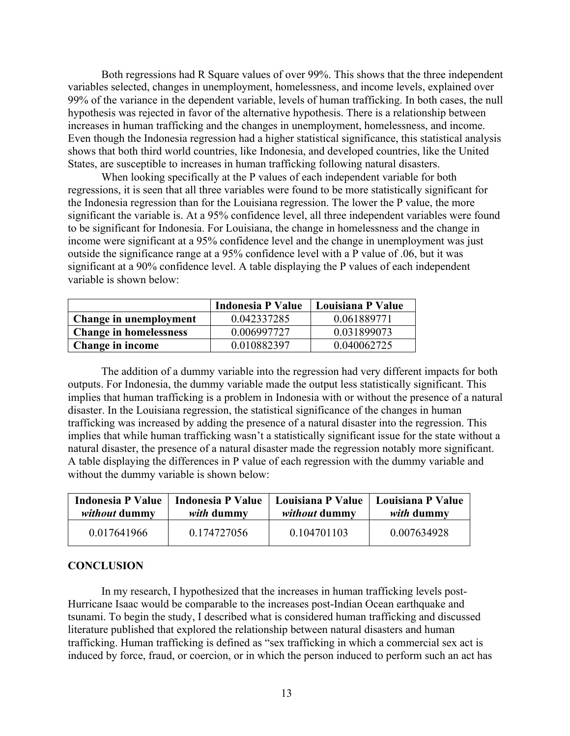Both regressions had R Square values of over 99%. This shows that the three independent variables selected, changes in unemployment, homelessness, and income levels, explained over 99% of the variance in the dependent variable, levels of human trafficking. In both cases, the null hypothesis was rejected in favor of the alternative hypothesis. There is a relationship between increases in human trafficking and the changes in unemployment, homelessness, and income. Even though the Indonesia regression had a higher statistical significance, this statistical analysis shows that both third world countries, like Indonesia, and developed countries, like the United States, are susceptible to increases in human trafficking following natural disasters.

When looking specifically at the P values of each independent variable for both regressions, it is seen that all three variables were found to be more statistically significant for the Indonesia regression than for the Louisiana regression. The lower the P value, the more significant the variable is. At a 95% confidence level, all three independent variables were found to be significant for Indonesia. For Louisiana, the change in homelessness and the change in income were significant at a 95% confidence level and the change in unemployment was just outside the significance range at a 95% confidence level with a P value of .06, but it was significant at a 90% confidence level. A table displaying the P values of each independent variable is shown below:

|                               | Indonesia P Value | Louisiana P Value |
|-------------------------------|-------------------|-------------------|
| Change in unemployment        | 0.042337285       | 0.061889771       |
| <b>Change in homelessness</b> | 0.006997727       | 0.031899073       |
| <b>Change in income</b>       | 0.010882397       | 0.040062725       |

The addition of a dummy variable into the regression had very different impacts for both outputs. For Indonesia, the dummy variable made the output less statistically significant. This implies that human trafficking is a problem in Indonesia with or without the presence of a natural disaster. In the Louisiana regression, the statistical significance of the changes in human trafficking was increased by adding the presence of a natural disaster into the regression. This implies that while human trafficking wasn't a statistically significant issue for the state without a natural disaster, the presence of a natural disaster made the regression notably more significant. A table displaying the differences in P value of each regression with the dummy variable and without the dummy variable is shown below:

| Indonesia P Value    | Indonesia P Value | Louisiana P Value    | Louisiana P Value |
|----------------------|-------------------|----------------------|-------------------|
| <i>without</i> dummy | <i>with</i> dummy | <i>without</i> dummy | <i>with</i> dummy |
| 0.017641966          | 0 174727056       | 0 104701103          | 0.007634928       |

# **CONCLUSION**

In my research, I hypothesized that the increases in human trafficking levels post-Hurricane Isaac would be comparable to the increases post-Indian Ocean earthquake and tsunami. To begin the study, I described what is considered human trafficking and discussed literature published that explored the relationship between natural disasters and human trafficking. Human trafficking is defined as "sex trafficking in which a commercial sex act is induced by force, fraud, or coercion, or in which the person induced to perform such an act has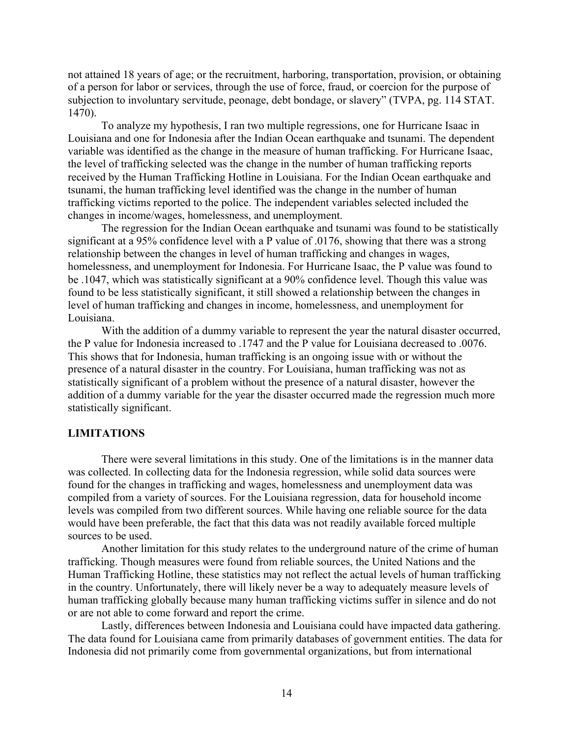not attained 18 years of age; or the recruitment, harboring, transportation, provision, or obtaining of a person for labor or services, through the use of force, fraud, or coercion for the purpose of subjection to involuntary servitude, peonage, debt bondage, or slavery" (TVPA, pg. 114 STAT. 1470).

To analyze my hypothesis, I ran two multiple regressions, one for Hurricane Isaac in Louisiana and one for Indonesia after the Indian Ocean earthquake and tsunami. The dependent variable was identified as the change in the measure of human trafficking. For Hurricane Isaac, the level of trafficking selected was the change in the number of human trafficking reports received by the Human Trafficking Hotline in Louisiana. For the Indian Ocean earthquake and tsunami, the human trafficking level identified was the change in the number of human trafficking victims reported to the police. The independent variables selected included the changes in income/wages, homelessness, and unemployment.

The regression for the Indian Ocean earthquake and tsunami was found to be statistically significant at a 95% confidence level with a P value of .0176, showing that there was a strong relationship between the changes in level of human trafficking and changes in wages, homelessness, and unemployment for Indonesia. For Hurricane Isaac, the P value was found to be .1047, which was statistically significant at a 90% confidence level. Though this value was found to be less statistically significant, it still showed a relationship between the changes in level of human trafficking and changes in income, homelessness, and unemployment for Louisiana.

With the addition of a dummy variable to represent the year the natural disaster occurred, the P value for Indonesia increased to .1747 and the P value for Louisiana decreased to .0076. This shows that for Indonesia, human trafficking is an ongoing issue with or without the presence of a natural disaster in the country. For Louisiana, human trafficking was not as statistically significant of a problem without the presence of a natural disaster, however the addition of a dummy variable for the year the disaster occurred made the regression much more statistically significant.

#### **LIMITATIONS**

There were several limitations in this study. One of the limitations is in the manner data was collected. In collecting data for the Indonesia regression, while solid data sources were found for the changes in trafficking and wages, homelessness and unemployment data was compiled from a variety of sources. For the Louisiana regression, data for household income levels was compiled from two different sources. While having one reliable source for the data would have been preferable, the fact that this data was not readily available forced multiple sources to be used.

Another limitation for this study relates to the underground nature of the crime of human trafficking. Though measures were found from reliable sources, the United Nations and the Human Trafficking Hotline, these statistics may not reflect the actual levels of human trafficking in the country. Unfortunately, there will likely never be a way to adequately measure levels of human trafficking globally because many human trafficking victims suffer in silence and do not or are not able to come forward and report the crime.

Lastly, differences between Indonesia and Louisiana could have impacted data gathering. The data found for Louisiana came from primarily databases of government entities. The data for Indonesia did not primarily come from governmental organizations, but from international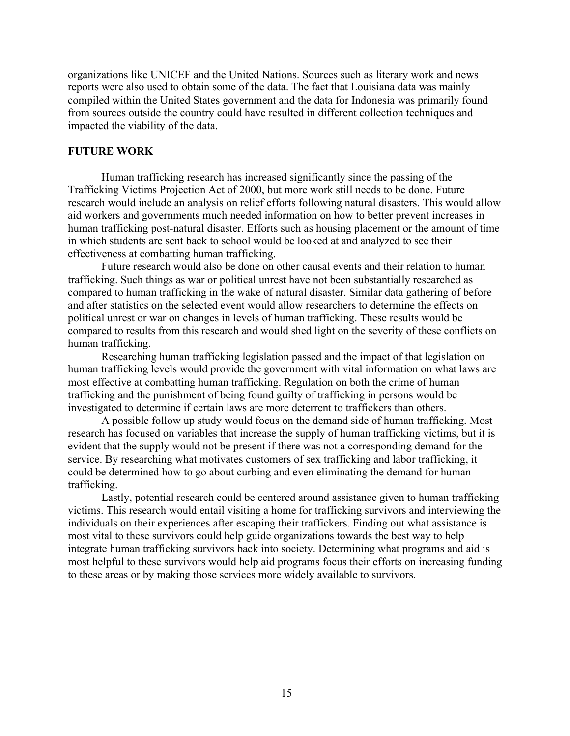organizations like UNICEF and the United Nations. Sources such as literary work and news reports were also used to obtain some of the data. The fact that Louisiana data was mainly compiled within the United States government and the data for Indonesia was primarily found from sources outside the country could have resulted in different collection techniques and impacted the viability of the data.

# **FUTURE WORK**

Human trafficking research has increased significantly since the passing of the Trafficking Victims Projection Act of 2000, but more work still needs to be done. Future research would include an analysis on relief efforts following natural disasters. This would allow aid workers and governments much needed information on how to better prevent increases in human trafficking post-natural disaster. Efforts such as housing placement or the amount of time in which students are sent back to school would be looked at and analyzed to see their effectiveness at combatting human trafficking.

Future research would also be done on other causal events and their relation to human trafficking. Such things as war or political unrest have not been substantially researched as compared to human trafficking in the wake of natural disaster. Similar data gathering of before and after statistics on the selected event would allow researchers to determine the effects on political unrest or war on changes in levels of human trafficking. These results would be compared to results from this research and would shed light on the severity of these conflicts on human trafficking.

Researching human trafficking legislation passed and the impact of that legislation on human trafficking levels would provide the government with vital information on what laws are most effective at combatting human trafficking. Regulation on both the crime of human trafficking and the punishment of being found guilty of trafficking in persons would be investigated to determine if certain laws are more deterrent to traffickers than others.

A possible follow up study would focus on the demand side of human trafficking. Most research has focused on variables that increase the supply of human trafficking victims, but it is evident that the supply would not be present if there was not a corresponding demand for the service. By researching what motivates customers of sex trafficking and labor trafficking, it could be determined how to go about curbing and even eliminating the demand for human trafficking.

Lastly, potential research could be centered around assistance given to human trafficking victims. This research would entail visiting a home for trafficking survivors and interviewing the individuals on their experiences after escaping their traffickers. Finding out what assistance is most vital to these survivors could help guide organizations towards the best way to help integrate human trafficking survivors back into society. Determining what programs and aid is most helpful to these survivors would help aid programs focus their efforts on increasing funding to these areas or by making those services more widely available to survivors.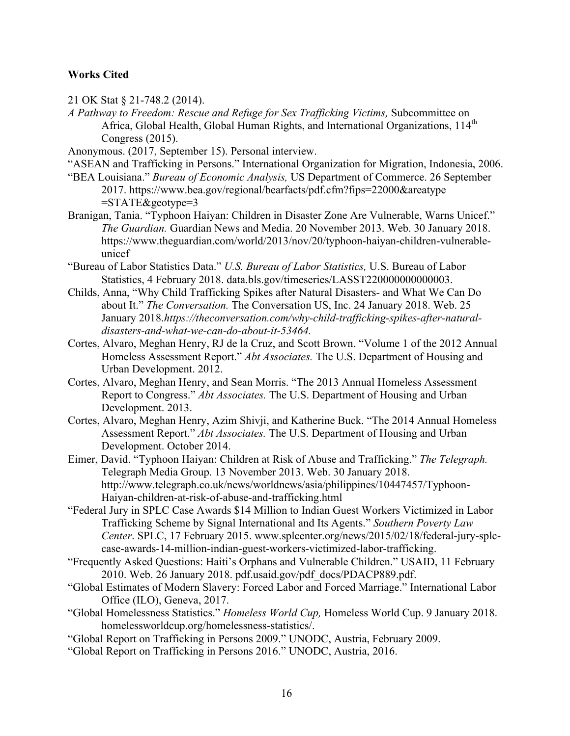# **Works Cited**

- 21 OK Stat § 21-748.2 (2014).
- *A Pathway to Freedom: Rescue and Refuge for Sex Trafficking Victims,* Subcommittee on Africa, Global Health, Global Human Rights, and International Organizations, 114<sup>th</sup> Congress (2015).
- Anonymous. (2017, September 15). Personal interview.
- "ASEAN and Trafficking in Persons." International Organization for Migration, Indonesia, 2006.
- "BEA Louisiana." *Bureau of Economic Analysis,* US Department of Commerce. 26 September 2017. https://www.bea.gov/regional/bearfacts/pdf.cfm?fips=22000&areatype  $=$ STATE&geotype=3
- Branigan, Tania. "Typhoon Haiyan: Children in Disaster Zone Are Vulnerable, Warns Unicef." *The Guardian.* Guardian News and Media. 20 November 2013. Web. 30 January 2018. https://www.theguardian.com/world/2013/nov/20/typhoon-haiyan-children-vulnerableunicef
- "Bureau of Labor Statistics Data." *U.S. Bureau of Labor Statistics,* U.S. Bureau of Labor Statistics, 4 February 2018. data.bls.gov/timeseries/LASST220000000000003.
- Childs, Anna, "Why Child Trafficking Spikes after Natural Disasters- and What We Can Do about It." *The Conversation.* The Conversation US, Inc. 24 January 2018. Web. 25 January 2018.*https://theconversation.com/why-child-trafficking-spikes-after-naturaldisasters-and-what-we-can-do-about-it-53464.*
- Cortes, Alvaro, Meghan Henry, RJ de la Cruz, and Scott Brown. "Volume 1 of the 2012 Annual Homeless Assessment Report." *Abt Associates.* The U.S. Department of Housing and Urban Development. 2012.
- Cortes, Alvaro, Meghan Henry, and Sean Morris. "The 2013 Annual Homeless Assessment Report to Congress." *Abt Associates.* The U.S. Department of Housing and Urban Development. 2013.
- Cortes, Alvaro, Meghan Henry, Azim Shivji, and Katherine Buck. "The 2014 Annual Homeless Assessment Report." *Abt Associates.* The U.S. Department of Housing and Urban Development. October 2014.
- Eimer, David. "Typhoon Haiyan: Children at Risk of Abuse and Trafficking." *The Telegraph.* Telegraph Media Group. 13 November 2013. Web. 30 January 2018. http://www.telegraph.co.uk/news/worldnews/asia/philippines/10447457/Typhoon-Haiyan-children-at-risk-of-abuse-and-trafficking.html
- "Federal Jury in SPLC Case Awards \$14 Million to Indian Guest Workers Victimized in Labor Trafficking Scheme by Signal International and Its Agents." *Southern Poverty Law Center*. SPLC, 17 February 2015. www.splcenter.org/news/2015/02/18/federal-jury-splccase-awards-14-million-indian-guest-workers-victimized-labor-trafficking.
- "Frequently Asked Questions: Haiti's Orphans and Vulnerable Children." USAID, 11 February 2010. Web. 26 January 2018. pdf.usaid.gov/pdf\_docs/PDACP889.pdf.
- "Global Estimates of Modern Slavery: Forced Labor and Forced Marriage." International Labor Office (ILO), Geneva, 2017.
- "Global Homelessness Statistics." *Homeless World Cup,* Homeless World Cup. 9 January 2018. homelessworldcup.org/homelessness-statistics/.
- "Global Report on Trafficking in Persons 2009." UNODC, Austria, February 2009.
- "Global Report on Trafficking in Persons 2016." UNODC, Austria, 2016.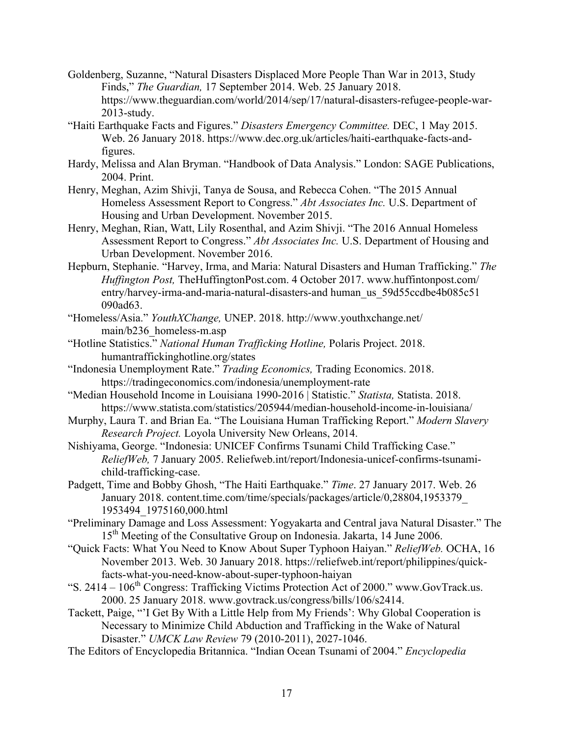- Goldenberg, Suzanne, "Natural Disasters Displaced More People Than War in 2013, Study Finds," *The Guardian,* 17 September 2014. Web. 25 January 2018. https://www.theguardian.com/world/2014/sep/17/natural-disasters-refugee-people-war-2013-study.
- "Haiti Earthquake Facts and Figures." *Disasters Emergency Committee.* DEC, 1 May 2015. Web. 26 January 2018. https://www.dec.org.uk/articles/haiti-earthquake-facts-andfigures.
- Hardy, Melissa and Alan Bryman. "Handbook of Data Analysis." London: SAGE Publications, 2004. Print.
- Henry, Meghan, Azim Shivji, Tanya de Sousa, and Rebecca Cohen. "The 2015 Annual Homeless Assessment Report to Congress." *Abt Associates Inc.* U.S. Department of Housing and Urban Development. November 2015.
- Henry, Meghan, Rian, Watt, Lily Rosenthal, and Azim Shivji. "The 2016 Annual Homeless Assessment Report to Congress." *Abt Associates Inc.* U.S. Department of Housing and Urban Development. November 2016.
- Hepburn, Stephanie. "Harvey, Irma, and Maria: Natural Disasters and Human Trafficking." *The Huffington Post,* TheHuffingtonPost.com. 4 October 2017. www.huffintonpost.com/ entry/harvey-irma-and-maria-natural-disasters-and human\_us\_59d55ccdbe4b085c51 090ad63.
- "Homeless/Asia." *YouthXChange,* UNEP. 2018. http://www.youthxchange.net/ main/b236\_homeless-m.asp
- "Hotline Statistics." *National Human Trafficking Hotline,* Polaris Project. 2018. humantraffickinghotline.org/states
- "Indonesia Unemployment Rate." *Trading Economics,* Trading Economics. 2018. https://tradingeconomics.com/indonesia/unemployment-rate
- "Median Household Income in Louisiana 1990-2016 | Statistic." *Statista,* Statista. 2018. https://www.statista.com/statistics/205944/median-household-income-in-louisiana/
- Murphy, Laura T. and Brian Ea. "The Louisiana Human Trafficking Report." *Modern Slavery Research Project.* Loyola University New Orleans, 2014.
- Nishiyama, George. "Indonesia: UNICEF Confirms Tsunami Child Trafficking Case." *ReliefWeb,* 7 January 2005. Reliefweb.int/report/Indonesia-unicef-confirms-tsunamichild-trafficking-case.
- Padgett, Time and Bobby Ghosh, "The Haiti Earthquake." *Time*. 27 January 2017. Web. 26 January 2018. content.time.com/time/specials/packages/article/0,28804,1953379\_ 1953494\_1975160,000.html
- "Preliminary Damage and Loss Assessment: Yogyakarta and Central java Natural Disaster." The 15<sup>th</sup> Meeting of the Consultative Group on Indonesia. Jakarta, 14 June 2006.
- "Quick Facts: What You Need to Know About Super Typhoon Haiyan." *ReliefWeb.* OCHA, 16 November 2013. Web. 30 January 2018. https://reliefweb.int/report/philippines/quickfacts-what-you-need-know-about-super-typhoon-haiyan
- "S.  $2414 106<sup>th</sup>$  Congress: Trafficking Victims Protection Act of 2000." www.GovTrack.us. 2000. 25 January 2018. www.govtrack.us/congress/bills/106/s2414.
- Tackett, Paige, "'I Get By With a Little Help from My Friends': Why Global Cooperation is Necessary to Minimize Child Abduction and Trafficking in the Wake of Natural Disaster." *UMCK Law Review* 79 (2010-2011), 2027-1046.
- The Editors of Encyclopedia Britannica. "Indian Ocean Tsunami of 2004." *Encyclopedia*